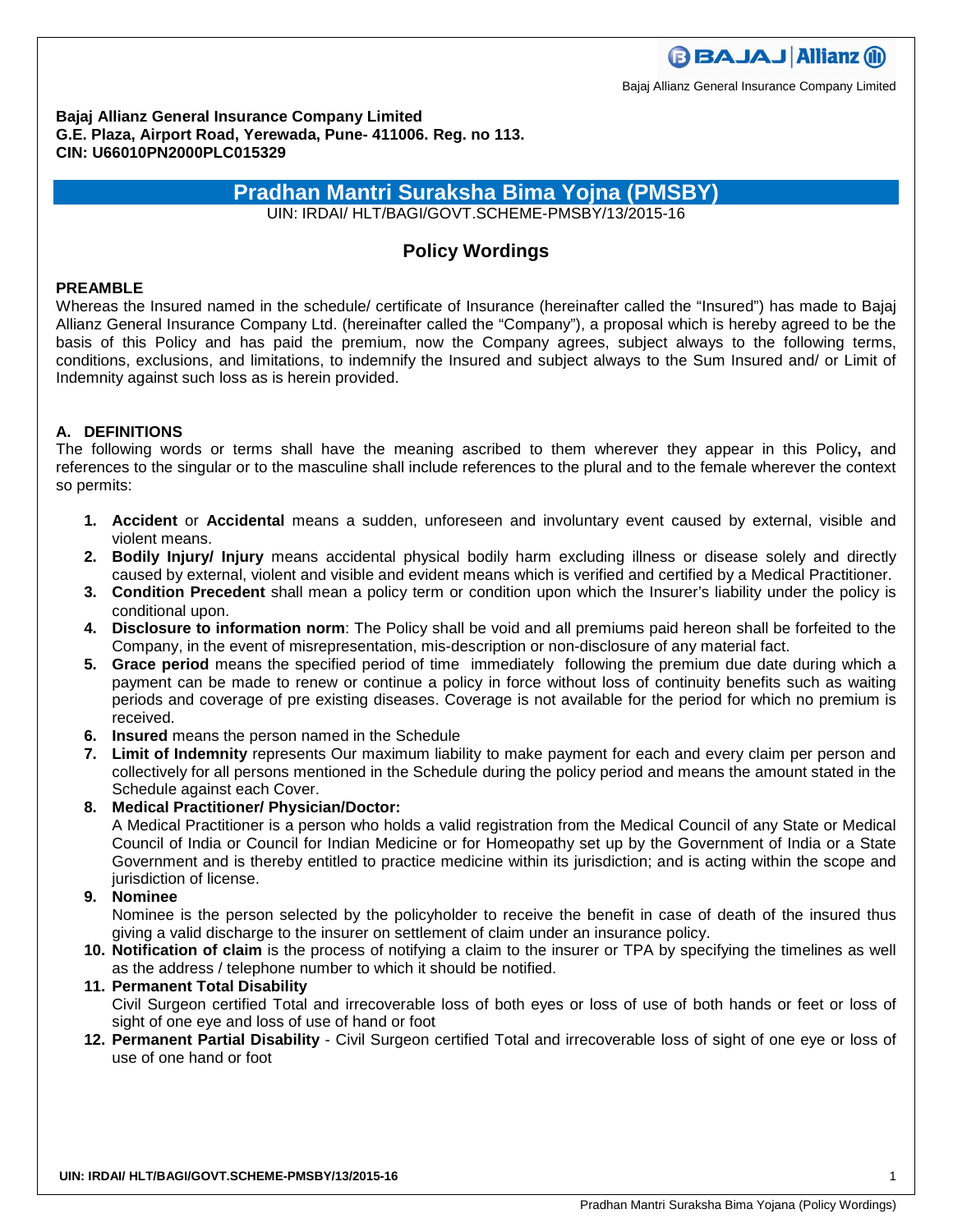**BBAJAJ Allianz M** 

Bajaj Allianz General Insurance Company Limited

**Bajaj Allianz General Insurance Company Limited G.E. Plaza, Airport Road, Yerewada, Pune- 411006. Reg. no 113. CIN: U66010PN2000PLC015329** 

# **Pradhan Mantri Suraksha Bima Yojna (PMSBY)**

UIN: IRDAI/ HLT/BAGI/GOVT.SCHEME-PMSBY/13/2015-16

## **Policy Wordings**

### **PREAMBLE**

Whereas the Insured named in the schedule/ certificate of Insurance (hereinafter called the "Insured") has made to Bajaj Allianz General Insurance Company Ltd. (hereinafter called the "Company"), a proposal which is hereby agreed to be the basis of this Policy and has paid the premium, now the Company agrees, subject always to the following terms, conditions, exclusions, and limitations, to indemnify the Insured and subject always to the Sum Insured and/ or Limit of Indemnity against such loss as is herein provided.

### **A. DEFINITIONS**

The following words or terms shall have the meaning ascribed to them wherever they appear in this Policy**,** and references to the singular or to the masculine shall include references to the plural and to the female wherever the context so permits:

- **1. Accident** or **Accidental** means a sudden, unforeseen and involuntary event caused by external, visible and violent means.
- **2. Bodily Injury/ Injury** means accidental physical bodily harm excluding illness or disease solely and directly caused by external, violent and visible and evident means which is verified and certified by a Medical Practitioner.
- **3. Condition Precedent** shall mean a policy term or condition upon which the Insurer's liability under the policy is conditional upon.
- **4. Disclosure to information norm**: The Policy shall be void and all premiums paid hereon shall be forfeited to the Company, in the event of misrepresentation, mis-description or non-disclosure of any material fact.
- **5. Grace period** means the specified period of time immediately following the premium due date during which a payment can be made to renew or continue a policy in force without loss of continuity benefits such as waiting periods and coverage of pre existing diseases. Coverage is not available for the period for which no premium is received.
- **6. Insured** means the person named in the Schedule
- **7. Limit of Indemnity** represents Our maximum liability to make payment for each and every claim per person and collectively for all persons mentioned in the Schedule during the policy period and means the amount stated in the Schedule against each Cover.

### **8. Medical Practitioner/ Physician/Doctor:**

A Medical Practitioner is a person who holds a valid registration from the Medical Council of any State or Medical Council of India or Council for Indian Medicine or for Homeopathy set up by the Government of India or a State Government and is thereby entitled to practice medicine within its jurisdiction; and is acting within the scope and jurisdiction of license.

### **9. Nominee**

Nominee is the person selected by the policyholder to receive the benefit in case of death of the insured thus giving a valid discharge to the insurer on settlement of claim under an insurance policy.

**10. Notification of claim** is the process of notifying a claim to the insurer or TPA by specifying the timelines as well as the address / telephone number to which it should be notified.

### **11. Permanent Total Disability**

Civil Surgeon certified Total and irrecoverable loss of both eyes or loss of use of both hands or feet or loss of sight of one eye and loss of use of hand or foot

**12. Permanent Partial Disability** - Civil Surgeon certified Total and irrecoverable loss of sight of one eye or loss of use of one hand or foot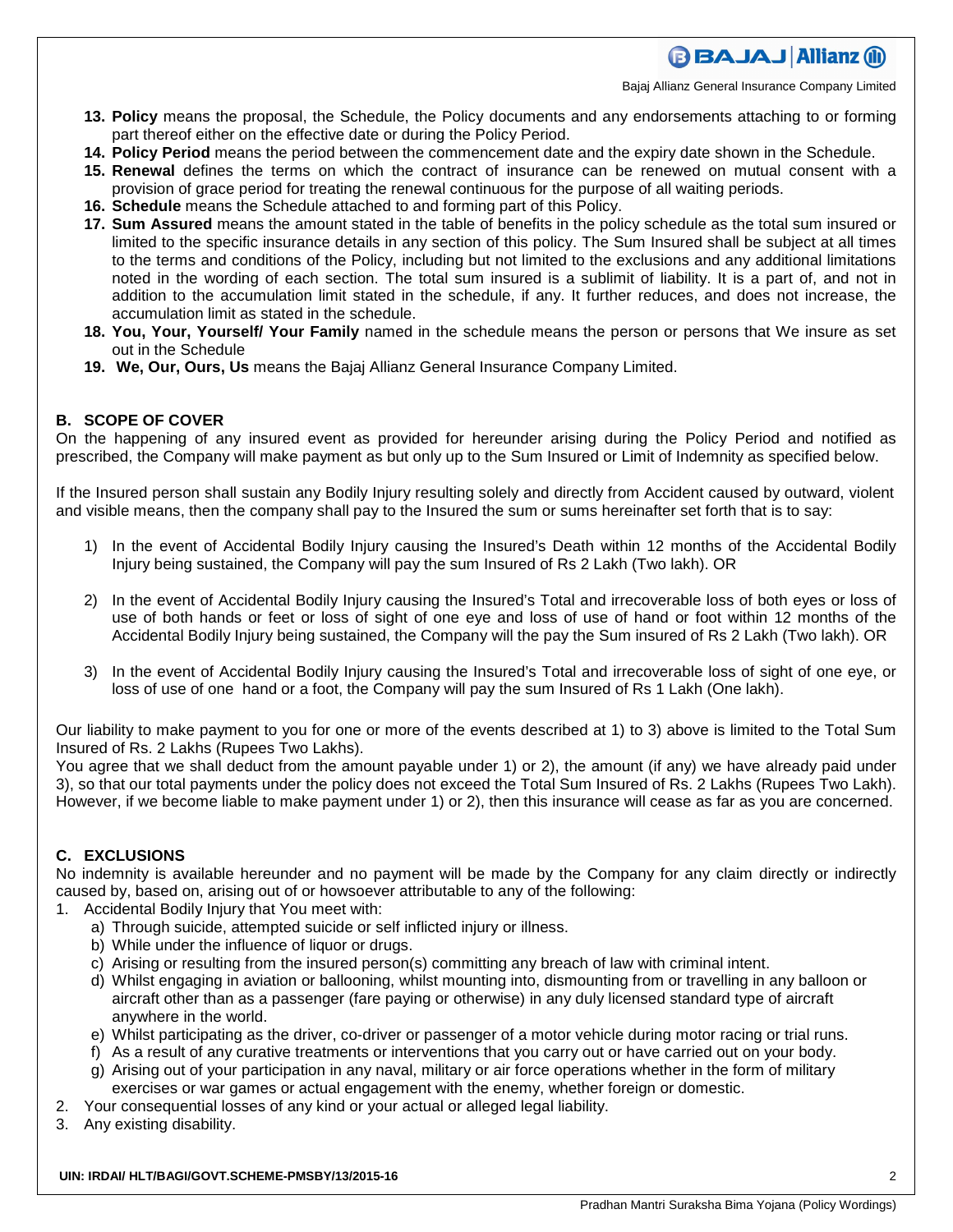# **BBAJAJ Allianz (il)**

Bajaj Allianz General Insurance Company Limited

- **13. Policy** means the proposal, the Schedule, the Policy documents and any endorsements attaching to or forming part thereof either on the effective date or during the Policy Period.
- **14. Policy Period** means the period between the commencement date and the expiry date shown in the Schedule.
- **15. Renewal** defines the terms on which the contract of insurance can be renewed on mutual consent with a provision of grace period for treating the renewal continuous for the purpose of all waiting periods.
- **16. Schedule** means the Schedule attached to and forming part of this Policy.
- **17. Sum Assured** means the amount stated in the table of benefits in the policy schedule as the total sum insured or limited to the specific insurance details in any section of this policy. The Sum Insured shall be subject at all times to the terms and conditions of the Policy, including but not limited to the exclusions and any additional limitations noted in the wording of each section. The total sum insured is a sublimit of liability. It is a part of, and not in addition to the accumulation limit stated in the schedule, if any. It further reduces, and does not increase, the accumulation limit as stated in the schedule.
- **18. You, Your, Yourself/ Your Family** named in the schedule means the person or persons that We insure as set out in the Schedule
- **19. We, Our, Ours, Us** means the Bajaj Allianz General Insurance Company Limited.

### **B. SCOPE OF COVER**

On the happening of any insured event as provided for hereunder arising during the Policy Period and notified as prescribed, the Company will make payment as but only up to the Sum Insured or Limit of Indemnity as specified below.

If the Insured person shall sustain any Bodily Injury resulting solely and directly from Accident caused by outward, violent and visible means, then the company shall pay to the Insured the sum or sums hereinafter set forth that is to say:

- 1) In the event of Accidental Bodily Injury causing the Insured's Death within 12 months of the Accidental Bodily Injury being sustained, the Company will pay the sum Insured of Rs 2 Lakh (Two lakh). OR
- 2) In the event of Accidental Bodily Injury causing the Insured's Total and irrecoverable loss of both eyes or loss of use of both hands or feet or loss of sight of one eye and loss of use of hand or foot within 12 months of the Accidental Bodily Injury being sustained, the Company will the pay the Sum insured of Rs 2 Lakh (Two lakh). OR
- 3) In the event of Accidental Bodily Injury causing the Insured's Total and irrecoverable loss of sight of one eye, or loss of use of one hand or a foot, the Company will pay the sum Insured of Rs 1 Lakh (One lakh).

Our liability to make payment to you for one or more of the events described at 1) to 3) above is limited to the Total Sum Insured of Rs. 2 Lakhs (Rupees Two Lakhs).

You agree that we shall deduct from the amount payable under 1) or 2), the amount (if any) we have already paid under 3), so that our total payments under the policy does not exceed the Total Sum Insured of Rs. 2 Lakhs (Rupees Two Lakh). However, if we become liable to make payment under 1) or 2), then this insurance will cease as far as you are concerned.

### **C. EXCLUSIONS**

No indemnity is available hereunder and no payment will be made by the Company for any claim directly or indirectly caused by, based on, arising out of or howsoever attributable to any of the following:

- 1. Accidental Bodily Injury that You meet with:
	- a) Through suicide, attempted suicide or self inflicted injury or illness.
	- b) While under the influence of liquor or drugs.
	- c) Arising or resulting from the insured person(s) committing any breach of law with criminal intent.
	- d) Whilst engaging in aviation or ballooning, whilst mounting into, dismounting from or travelling in any balloon or aircraft other than as a passenger (fare paying or otherwise) in any duly licensed standard type of aircraft anywhere in the world.
	- e) Whilst participating as the driver, co-driver or passenger of a motor vehicle during motor racing or trial runs.
	- f) As a result of any curative treatments or interventions that you carry out or have carried out on your body.
	- g) Arising out of your participation in any naval, military or air force operations whether in the form of military exercises or war games or actual engagement with the enemy, whether foreign or domestic.
- 2. Your consequential losses of any kind or your actual or alleged legal liability.
- 3. Any existing disability.

#### **UIN: IRDAI/ HLT/BAGI/GOVT.SCHEME-PMSBY/13/2015-16** 2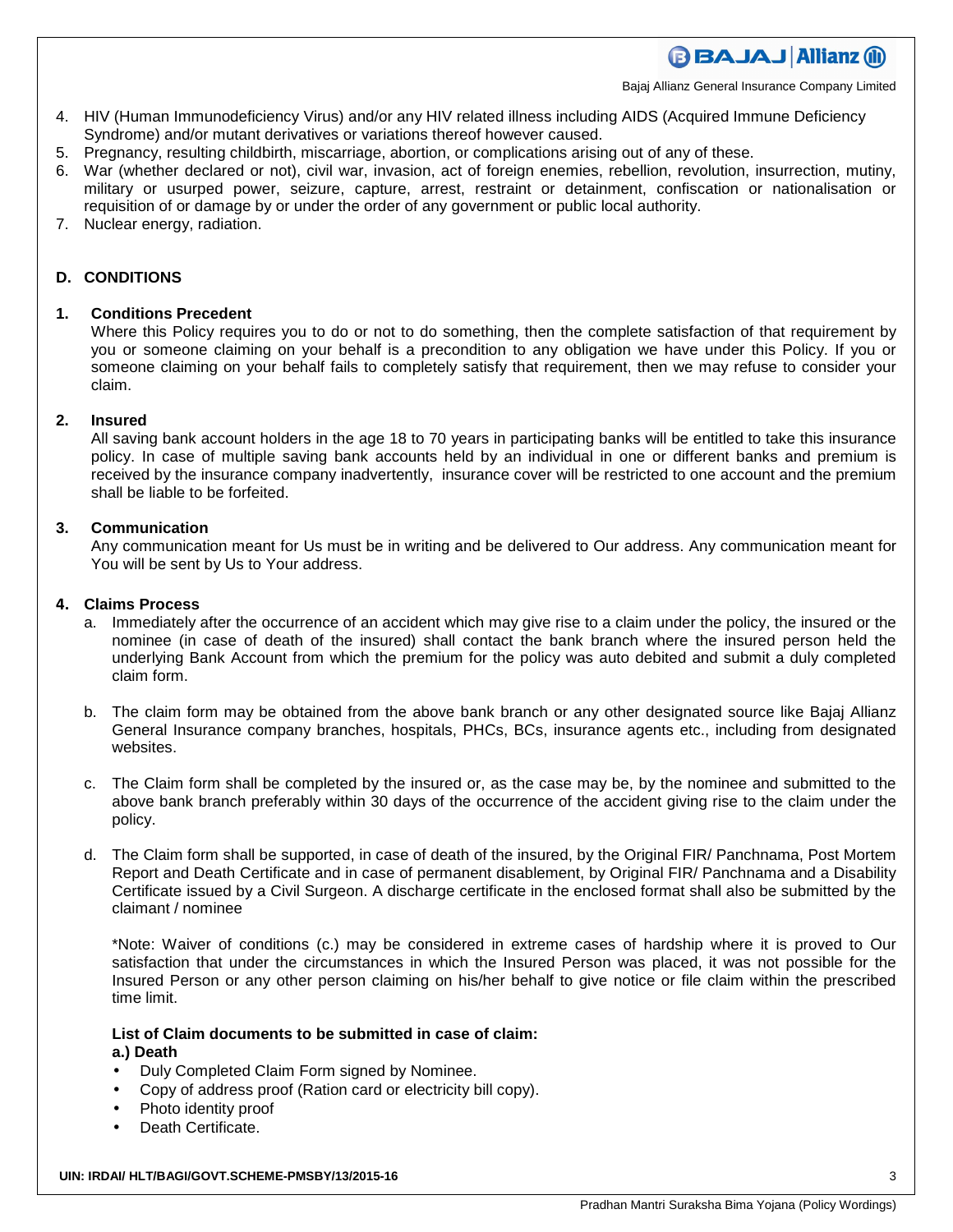Bajaj Allianz General Insurance Company Limited

- 4. HIV (Human Immunodeficiency Virus) and/or any HIV related illness including AIDS (Acquired Immune Deficiency Syndrome) and/or mutant derivatives or variations thereof however caused.
- 5. Pregnancy, resulting childbirth, miscarriage, abortion, or complications arising out of any of these.
- 6. War (whether declared or not), civil war, invasion, act of foreign enemies, rebellion, revolution, insurrection, mutiny, military or usurped power, seizure, capture, arrest, restraint or detainment, confiscation or nationalisation or requisition of or damage by or under the order of any government or public local authority.
- 7. Nuclear energy, radiation.

### **D. CONDITIONS**

### **1. Conditions Precedent**

Where this Policy requires you to do or not to do something, then the complete satisfaction of that requirement by you or someone claiming on your behalf is a precondition to any obligation we have under this Policy. If you or someone claiming on your behalf fails to completely satisfy that requirement, then we may refuse to consider your claim.

#### **2. Insured**

All saving bank account holders in the age 18 to 70 years in participating banks will be entitled to take this insurance policy. In case of multiple saving bank accounts held by an individual in one or different banks and premium is received by the insurance company inadvertently, insurance cover will be restricted to one account and the premium shall be liable to be forfeited.

#### **3. Communication**

Any communication meant for Us must be in writing and be delivered to Our address. Any communication meant for You will be sent by Us to Your address.

#### **4. Claims Process**

- a. Immediately after the occurrence of an accident which may give rise to a claim under the policy, the insured or the nominee (in case of death of the insured) shall contact the bank branch where the insured person held the underlying Bank Account from which the premium for the policy was auto debited and submit a duly completed claim form.
- b. The claim form may be obtained from the above bank branch or any other designated source like Bajaj Allianz General Insurance company branches, hospitals, PHCs, BCs, insurance agents etc., including from designated websites.
- c. The Claim form shall be completed by the insured or, as the case may be, by the nominee and submitted to the above bank branch preferably within 30 days of the occurrence of the accident giving rise to the claim under the policy.
- d. The Claim form shall be supported, in case of death of the insured, by the Original FIR/ Panchnama, Post Mortem Report and Death Certificate and in case of permanent disablement, by Original FIR/ Panchnama and a Disability Certificate issued by a Civil Surgeon. A discharge certificate in the enclosed format shall also be submitted by the claimant / nominee

\*Note: Waiver of conditions (c.) may be considered in extreme cases of hardship where it is proved to Our satisfaction that under the circumstances in which the Insured Person was placed, it was not possible for the Insured Person or any other person claiming on his/her behalf to give notice or file claim within the prescribed time limit.

#### **List of Claim documents to be submitted in case of claim: a.) Death**

- Duly Completed Claim Form signed by Nominee.
- Copy of address proof (Ration card or electricity bill copy).
- Photo identity proof
- Death Certificate.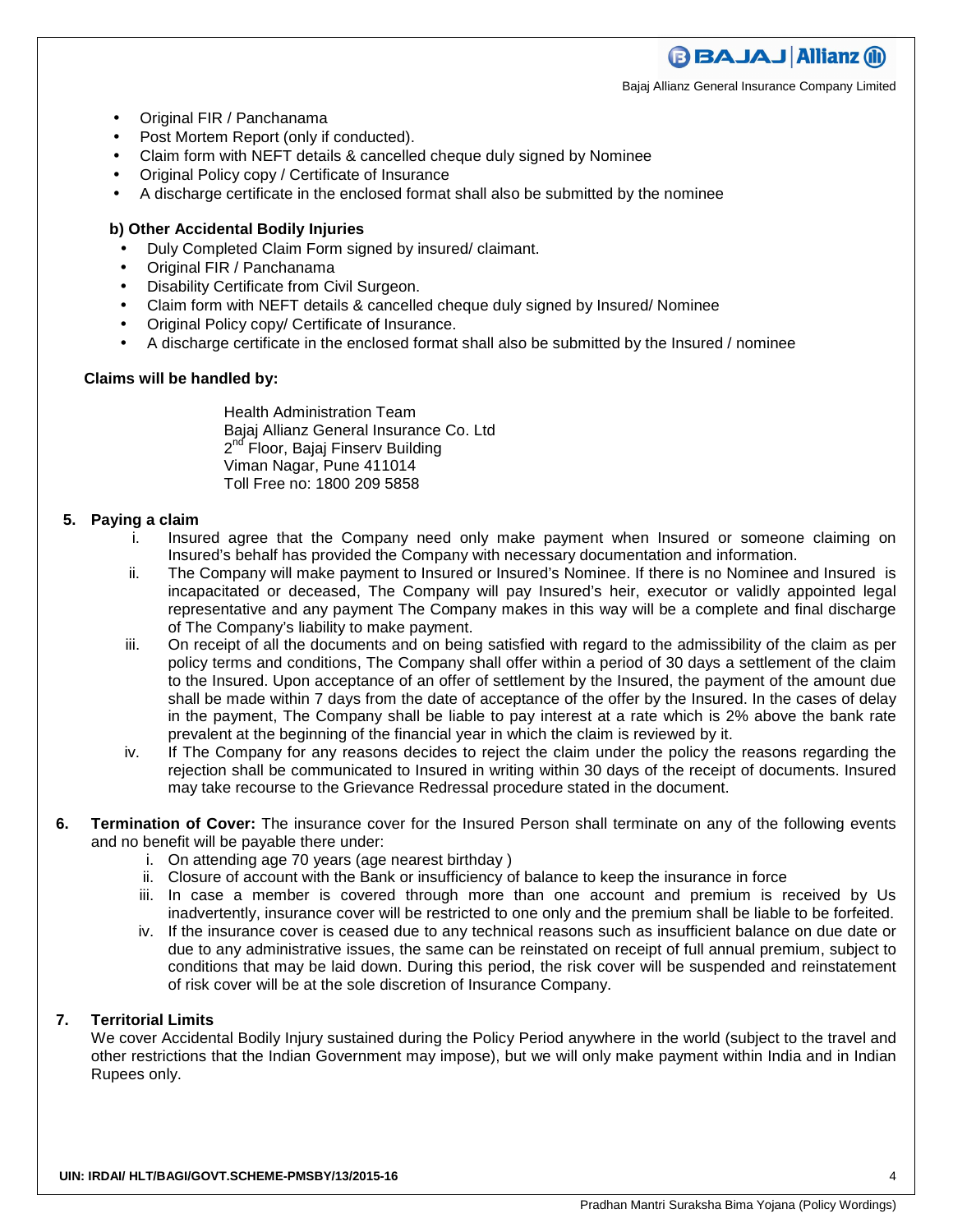Bajaj Allianz General Insurance Company Limited

**BBAJAJ Allianz (il)** 

- Original FIR / Panchanama
- Post Mortem Report (only if conducted).
- Claim form with NEFT details & cancelled cheque duly signed by Nominee
- Original Policy copy / Certificate of Insurance
- A discharge certificate in the enclosed format shall also be submitted by the nominee

### **b) Other Accidental Bodily Injuries**

- Duly Completed Claim Form signed by insured/ claimant.
- Original FIR / Panchanama
- Disability Certificate from Civil Surgeon.
- Claim form with NEFT details & cancelled cheque duly signed by Insured/ Nominee
- Original Policy copy/ Certificate of Insurance.
- A discharge certificate in the enclosed format shall also be submitted by the Insured / nominee

### **Claims will be handled by:**

Health Administration Team Bajaj Allianz General Insurance Co. Ltd 2<sup>nd</sup> Floor, Bajaj Finserv Building Viman Nagar, Pune 411014 Toll Free no: 1800 209 5858

### **5. Paying a claim**

- i. Insured agree that the Company need only make payment when Insured or someone claiming on Insured's behalf has provided the Company with necessary documentation and information.
- ii. The Company will make payment to Insured or Insured's Nominee. If there is no Nominee and Insured is incapacitated or deceased, The Company will pay Insured's heir, executor or validly appointed legal representative and any payment The Company makes in this way will be a complete and final discharge of The Company's liability to make payment.
- iii. On receipt of all the documents and on being satisfied with regard to the admissibility of the claim as per policy terms and conditions, The Company shall offer within a period of 30 days a settlement of the claim to the Insured. Upon acceptance of an offer of settlement by the Insured, the payment of the amount due shall be made within 7 days from the date of acceptance of the offer by the Insured. In the cases of delay in the payment, The Company shall be liable to pay interest at a rate which is 2% above the bank rate prevalent at the beginning of the financial year in which the claim is reviewed by it.
- iv. If The Company for any reasons decides to reject the claim under the policy the reasons regarding the rejection shall be communicated to Insured in writing within 30 days of the receipt of documents. Insured may take recourse to the Grievance Redressal procedure stated in the document.
- **6. Termination of Cover:** The insurance cover for the Insured Person shall terminate on any of the following events and no benefit will be payable there under:
	- i. On attending age 70 years (age nearest birthday )
	- ii. Closure of account with the Bank or insufficiency of balance to keep the insurance in force
	- iii. In case a member is covered through more than one account and premium is received by Us inadvertently, insurance cover will be restricted to one only and the premium shall be liable to be forfeited.
	- iv. If the insurance cover is ceased due to any technical reasons such as insufficient balance on due date or due to any administrative issues, the same can be reinstated on receipt of full annual premium, subject to conditions that may be laid down. During this period, the risk cover will be suspended and reinstatement of risk cover will be at the sole discretion of Insurance Company.

### **7. Territorial Limits**

We cover Accidental Bodily Injury sustained during the Policy Period anywhere in the world (subject to the travel and other restrictions that the Indian Government may impose), but we will only make payment within India and in Indian Rupees only.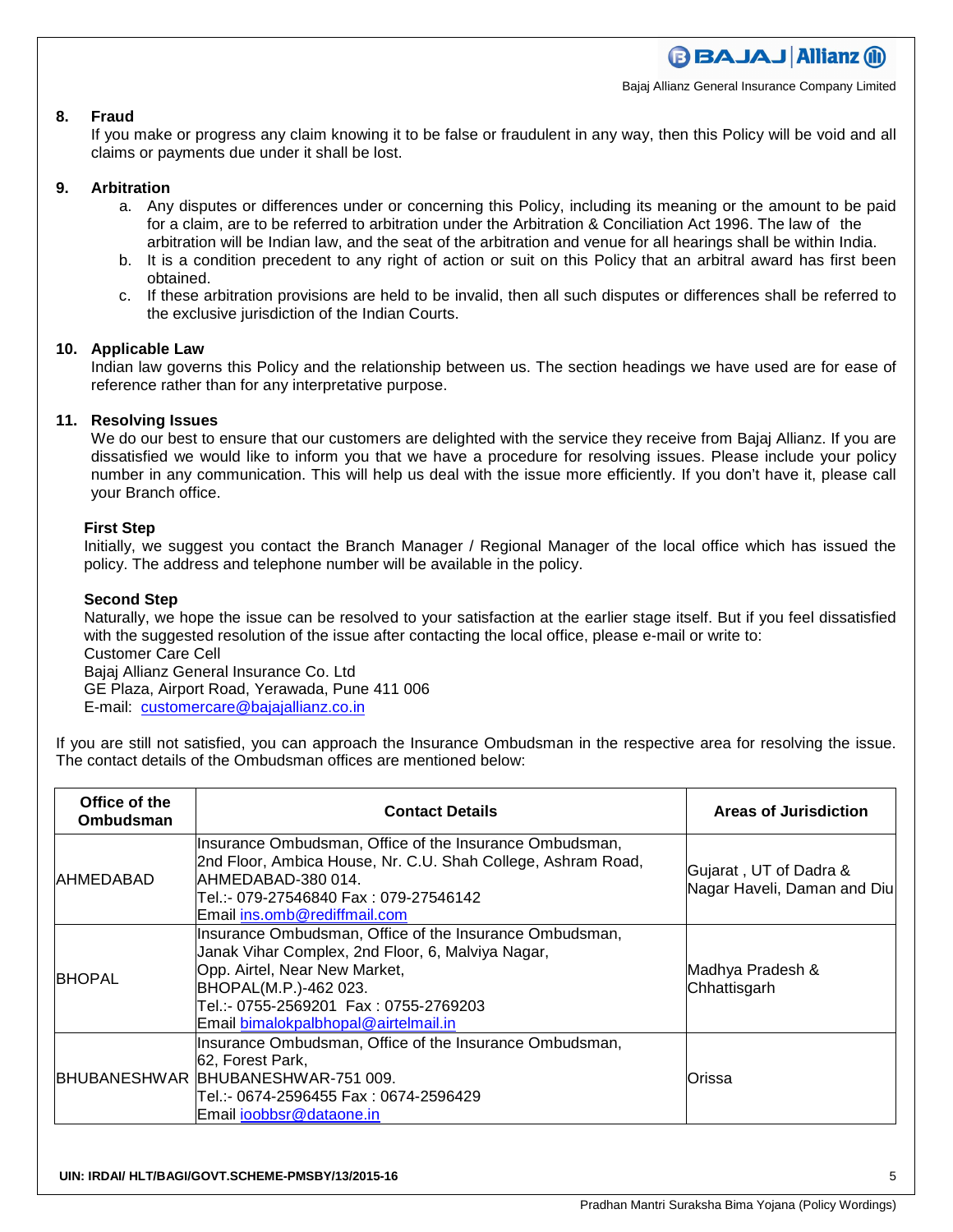Bajaj Allianz General Insurance Company Limited

### **8. Fraud**

If you make or progress any claim knowing it to be false or fraudulent in any way, then this Policy will be void and all claims or payments due under it shall be lost.

### **9. Arbitration**

- a. Any disputes or differences under or concerning this Policy, including its meaning or the amount to be paid for a claim, are to be referred to arbitration under the Arbitration & Conciliation Act 1996. The law of the arbitration will be Indian law, and the seat of the arbitration and venue for all hearings shall be within India.
- b. It is a condition precedent to any right of action or suit on this Policy that an arbitral award has first been obtained.
- c. If these arbitration provisions are held to be invalid, then all such disputes or differences shall be referred to the exclusive jurisdiction of the Indian Courts.

#### **10. Applicable Law**

Indian law governs this Policy and the relationship between us. The section headings we have used are for ease of reference rather than for any interpretative purpose.

### **11. Resolving Issues**

We do our best to ensure that our customers are delighted with the service they receive from Bajaj Allianz. If you are dissatisfied we would like to inform you that we have a procedure for resolving issues. Please include your policy number in any communication. This will help us deal with the issue more efficiently. If you don't have it, please call your Branch office.

### **First Step**

Initially, we suggest you contact the Branch Manager / Regional Manager of the local office which has issued the policy. The address and telephone number will be available in the policy.

### **Second Step**

Naturally, we hope the issue can be resolved to your satisfaction at the earlier stage itself. But if you feel dissatisfied with the suggested resolution of the issue after contacting the local office, please e-mail or write to: Customer Care Cell Bajaj Allianz General Insurance Co. Ltd GE Plaza, Airport Road, Yerawada, Pune 411 006

E-mail: customercare@bajajallianz.co.in

If you are still not satisfied, you can approach the Insurance Ombudsman in the respective area for resolving the issue. The contact details of the Ombudsman offices are mentioned below:

| Office of the<br><b>Ombudsman</b> | <b>Contact Details</b>                                                                                                                                                                                                    | <b>Areas of Jurisdiction</b>                          |
|-----------------------------------|---------------------------------------------------------------------------------------------------------------------------------------------------------------------------------------------------------------------------|-------------------------------------------------------|
| <b>IAHMEDABAD</b>                 | Insurance Ombudsman, Office of the Insurance Ombudsman,<br>2nd Floor, Ambica House, Nr. C.U. Shah College, Ashram Road,<br>IAHMEDABAD-380 014.<br>Tel.:- 079-27546840 Fax : 079-27546142<br>lEmail ins.omb@rediffmail.com | Gujarat, UT of Dadra &<br>Nagar Haveli, Daman and Diu |
| <b>BHOPAL</b>                     | Insurance Ombudsman, Office of the Insurance Ombudsman,<br>Janak Vihar Complex, 2nd Floor, 6, Malviya Nagar,<br>Opp. Airtel, Near New Market,<br>BHOPAL(M.P.)-462 023.<br>Email bimalokpalbhopal@airtelmail.in            | Madhya Pradesh &<br>Chhattisgarh                      |
|                                   | Insurance Ombudsman, Office of the Insurance Ombudsman,<br>62, Forest Park,<br>BHUBANESHWAR BHUBANESHWAR-751 009.<br>Email ioobbsr@dataone.in                                                                             | Orissa                                                |

**UIN: IRDAI/ HLT/BAGI/GOVT.SCHEME-PMSBY/13/2015-16** 5